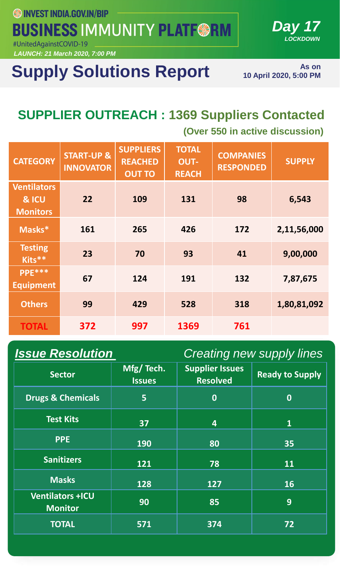**SSINVEST INDIA.GOV.IN/BIP BUSINESS IMMUNITY PLATF@RM** #UnitedAgainstCOVID-19

*LAUNCH: 21 March 2020, 7:00 PM*

# **Supply Solutions Report**

**As on 10 April 2020, 5:00 PM** 

*Day 17*

*LOCKDOWN*

## **SUPPLIER OUTREACH : 1369 Suppliers Contacted**

**(Over 550 in active discussion)**

| <b>CATEGORY</b>                                | <b>START-UP &amp;</b><br><b>INNOVATOR</b> | <b>SUPPLIERS</b><br><b>REACHED</b><br><b>OUT TO</b> | <b>TOTAL</b><br><b>OUT-</b><br><b>REACH</b> | <b>COMPANIES</b><br><b>RESPONDED</b> | <b>SUPPLY</b> |
|------------------------------------------------|-------------------------------------------|-----------------------------------------------------|---------------------------------------------|--------------------------------------|---------------|
| <b>Ventilators</b><br>& ICU<br><b>Monitors</b> | 22                                        | 109                                                 | 131                                         | 98                                   | 6,543         |
| Masks*                                         | 161                                       | 265                                                 | 426                                         | 172                                  | 2,11,56,000   |
| <b>Testing</b><br>Kits**                       | 23                                        | 70                                                  | 93                                          | 41                                   | 9,00,000      |
| PPE***<br><b>Equipment</b>                     | 67                                        | 124                                                 | 191                                         | 132                                  | 7,87,675      |
| <b>Others</b>                                  | 99                                        | 429                                                 | 528                                         | 318                                  | 1,80,81,092   |
| <b>TOTAL</b>                                   | 372                                       | 997                                                 | 1369                                        | 761                                  |               |

| <b>Issue Resolution</b><br><b>Creating new supply lines</b> |                            |                                           |                        |  |
|-------------------------------------------------------------|----------------------------|-------------------------------------------|------------------------|--|
| <b>Sector</b>                                               | Mfg/Tech.<br><b>Issues</b> | <b>Supplier Issues</b><br><b>Resolved</b> | <b>Ready to Supply</b> |  |
| <b>Drugs &amp; Chemicals</b>                                | 5                          | $\boldsymbol{0}$                          | $\bf{0}$               |  |
| <b>Test Kits</b>                                            | 37                         | 4                                         | $\mathbf{1}$           |  |
| <b>PPE</b>                                                  | <b>190</b>                 | 80                                        | 35                     |  |
| <b>Sanitizers</b>                                           | 121                        | 78                                        | 11                     |  |
| <b>Masks</b>                                                | 128                        | 127                                       | <b>16</b>              |  |
| <b>Ventilators +ICU</b><br><b>Monitor</b>                   | 90                         | 85                                        | 9                      |  |
| <b>TOTAL</b>                                                | 571                        | 374                                       | 72                     |  |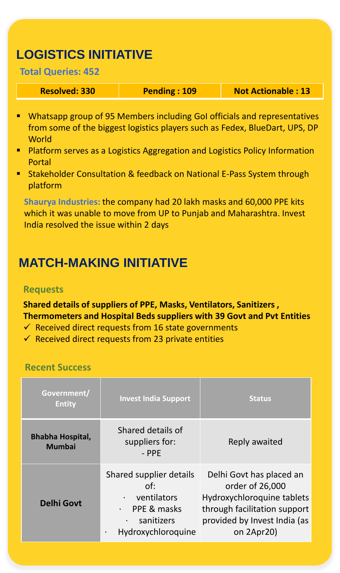### **LOGISTICS INITIATIVE**

#### **Total Queries: 452**

**Resolved: 330 Pending : 109 Not Actionable : 13** 

- Whatsapp group of 95 Members including GoI officials and representatives from some of the biggest logistics players such as Fedex, BlueDart, UPS, DP **World**
- **Platform serves as a Logistics Aggregation and Logistics Policy Information** Portal
- Stakeholder Consultation & feedback on National E-Pass System through platform

which it was unable to move from UP to Punjab and Maharashtra. Invest **Shaurya Industries:** the company had 20 lakh masks and 60,000 PPE kits India resolved the issue within 2 days

## **MATCH-MAKING INITIATIVE**

#### **Requests**

**Shared details of suppliers of PPE, Masks, Ventilators, Sanitizers , Thermometers and Hospital Beds suppliers with 39 Govt and Pvt Entities**

- $\checkmark$  Received direct requests from 16 state governments
- $\checkmark$  Received direct requests from 23 private entities

#### **Recent Success**

| Government/<br><b>Entity</b>             | <b>Invest India Support</b>                                                                                   | <b>Status</b>                                                                                                                                           |
|------------------------------------------|---------------------------------------------------------------------------------------------------------------|---------------------------------------------------------------------------------------------------------------------------------------------------------|
| <b>Bhabha Hospital,</b><br><b>Mumbai</b> | Shared details of<br>suppliers for:<br>$-$ PPE                                                                | Reply awaited                                                                                                                                           |
| <b>Delhi Govt</b>                        | Shared supplier details<br>Of:<br>ventilators<br>PPE & masks<br>$\bullet$<br>sanitizers<br>Hydroxychloroquine | Delhi Govt has placed an<br>order of 26,000<br>Hydroxychloroquine tablets<br>through facilitation support<br>provided by Invest India (as<br>on 2Apr20) |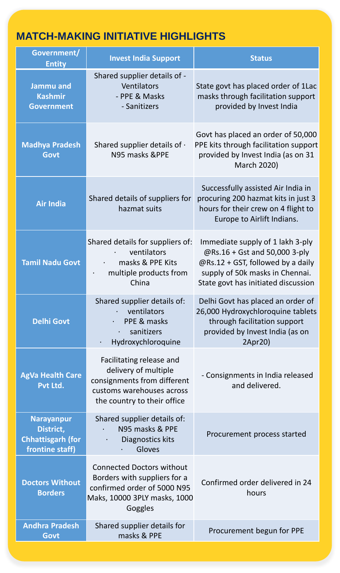### **MATCH-MAKING INITIATIVE HIGHLIGHTS**

| Government/<br><b>Entity</b>                                                  | <b>Invest India Support</b>                                                                                                                 | <b>Status</b>                                                                                                                                                                    |
|-------------------------------------------------------------------------------|---------------------------------------------------------------------------------------------------------------------------------------------|----------------------------------------------------------------------------------------------------------------------------------------------------------------------------------|
| Jammu and<br><b>Kashmir</b><br><b>Government</b>                              | Shared supplier details of -<br><b>Ventilators</b><br>- PPE & Masks<br>- Sanitizers                                                         | State govt has placed order of 1Lac<br>masks through facilitation support<br>provided by Invest India                                                                            |
| <b>Madhya Pradesh</b><br>Govt                                                 | Shared supplier details of $\cdot$<br>N95 masks &PPE                                                                                        | Govt has placed an order of 50,000<br>PPE kits through facilitation support<br>provided by Invest India (as on 31<br><b>March 2020)</b>                                          |
| <b>Air India</b>                                                              | Shared details of suppliers for<br>hazmat suits                                                                                             | Successfully assisted Air India in<br>procuring 200 hazmat kits in just 3<br>hours for their crew on 4 flight to<br>Europe to Airlift Indians.                                   |
| <b>Tamil Nadu Govt</b>                                                        | Shared details for suppliers of:<br>ventilators<br>masks & PPE Kits<br>multiple products from<br>China                                      | Immediate supply of 1 lakh 3-ply<br>@Rs.16 + Gst and 50,000 3-ply<br>@Rs.12 + GST, followed by a daily<br>supply of 50k masks in Chennai.<br>State govt has initiated discussion |
| <b>Delhi Govt</b>                                                             | Shared supplier details of:<br>ventilators<br>PPE & masks<br>sanitizers<br>Hydroxychloroquine                                               | Delhi Govt has placed an order of<br>26,000 Hydroxychloroquine tablets<br>through facilitation support<br>provided by Invest India (as on<br>2Apr20)                             |
| <b>AgVa Health Care</b><br>Pvt Ltd.                                           | Facilitating release and<br>delivery of multiple<br>consignments from different<br>customs warehouses across<br>the country to their office | - Consignments in India released<br>and delivered.                                                                                                                               |
| <b>Narayanpur</b><br>District,<br><b>Chhattisgarh (for</b><br>frontine staff) | Shared supplier details of:<br>N95 masks & PPE<br>Diagnostics kits<br>Gloves                                                                | Procurement process started                                                                                                                                                      |
| <b>Doctors Without</b><br><b>Borders</b>                                      | <b>Connected Doctors without</b><br>Borders with suppliers for a<br>confirmed order of 5000 N95<br>Maks, 10000 3PLY masks, 1000<br>Goggles  | Confirmed order delivered in 24<br>hours                                                                                                                                         |
| <b>Andhra Pradesh</b><br>Govt                                                 | Shared supplier details for<br>masks & PPE                                                                                                  | Procurement begun for PPE                                                                                                                                                        |